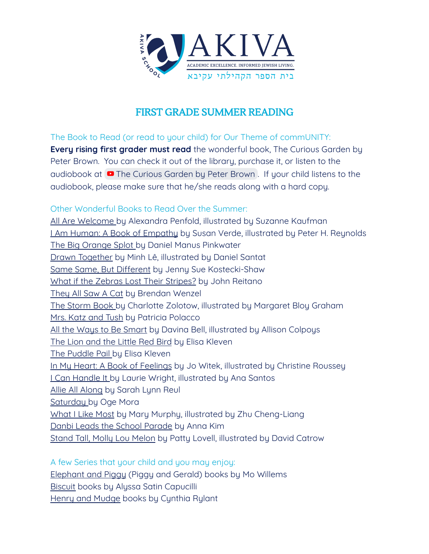

## FIRST GRADE SUMMER READING

The Book to Read (or read to your child) for Our Theme of commUNITY: **Every rising first grader must read** the wonderful book, The Curious Garden by Peter Brown. You can check it out of the library, purchase it, or listen to the audiobook at **P** The [Curious](https://www.youtube.com/watch?v=6SHmN-wXykU) Garden by Peter Brown. If your child listens to the audiobook, please make sure that he/she reads along with a hard copy.

## Other Wonderful Books to Read Over the Summer:

All Are Welcome by Alexandra Penfold, illustrated by Suzanne Kaufman I Am Human: A Book of Empathy by Susan Verde, illustrated by Peter H. Reynolds The Big Orange Splot by Daniel Manus Pinkwater Drawn Together by Minh Lê, illustrated by Daniel Santat Same Same, But Different by Jenny Sue Kostecki-Shaw What if the Zebras Lost Their Stripes? by John Reitano They All Saw A Cat by Brendan Wenzel The Storm Book by Charlotte Zolotow, illustrated by Margaret Bloy Graham Mrs. Katz and Tush by Patricia Polacco All the Ways to Be Smart by Davina Bell, illustrated by Allison Colpoys The Lion and the Little Red Bird by Elisa Kleven The Puddle Pail by Elisa Kleven In My Heart: A Book of Feelings by Jo Witek, illustrated by Christine Roussey I Can Handle It by Laurie Wright, illustrated by Ana Santos Allie All Along by Sarah Lynn Reul Saturday by Oge Mora What I Like Most by Mary Murphy, illustrated by Zhu Cheng-Liang Danbi Leads the School Parade by Anna Kim Stand Tall, Molly Lou Melon by Patty Lovell, illustrated by David Catrow

A few Series that your child and you may enjoy:

Elephant and Piggy (Piggy and Gerald) books by Mo Willems Biscuit books by Alyssa Satin Capucilli Henry and Mudge books by Cynthia Rylant